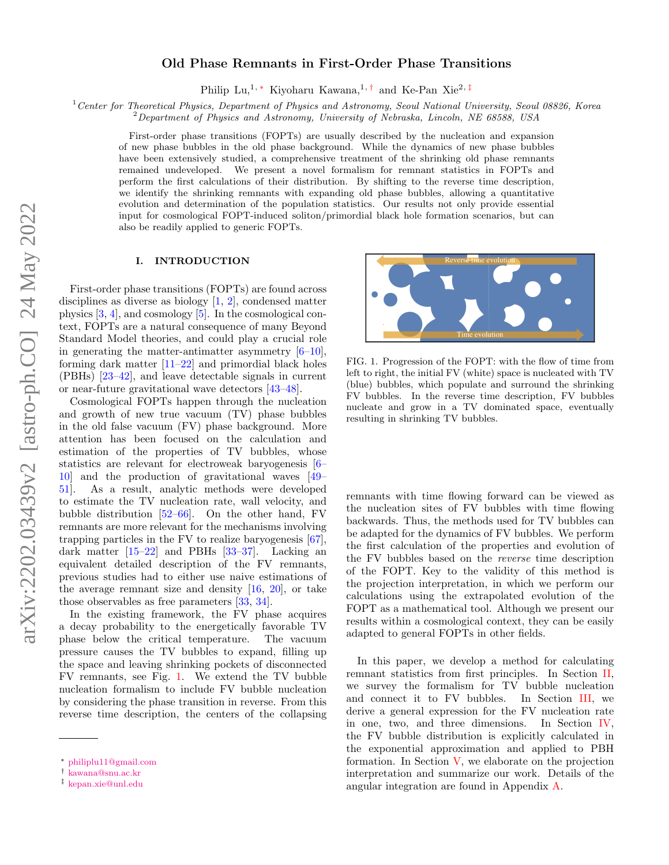# Old Phase Remnants in First-Order Phase Transitions

Philip Lu,<sup>1,\*</sup> Kiyoharu Kawana,<sup>1,[†](#page-0-1)</sup> and Ke-Pan Xie<sup>2,[‡](#page-0-2)</sup>

<sup>1</sup>Center for Theoretical Physics, Department of Physics and Astronomy, Seoul National University, Seoul 08826, Korea

<sup>2</sup>Department of Physics and Astronomy, University of Nebraska, Lincoln, NE 68588, USA

First-order phase transitions (FOPTs) are usually described by the nucleation and expansion of new phase bubbles in the old phase background. While the dynamics of new phase bubbles have been extensively studied, a comprehensive treatment of the shrinking old phase remnants remained undeveloped. We present a novel formalism for remnant statistics in FOPTs and perform the first calculations of their distribution. By shifting to the reverse time description, we identify the shrinking remnants with expanding old phase bubbles, allowing a quantitative evolution and determination of the population statistics. Our results not only provide essential input for cosmological FOPT-induced soliton/primordial black hole formation scenarios, but can also be readily applied to generic FOPTs.

# I. INTRODUCTION

First-order phase transitions (FOPTs) are found across disciplines as diverse as biology [\[1,](#page-6-0) [2\]](#page-6-1), condensed matter physics [\[3,](#page-6-2) [4\]](#page-6-3), and cosmology [\[5\]](#page-6-4). In the cosmological context, FOPTs are a natural consequence of many Beyond Standard Model theories, and could play a crucial role in generating the matter-antimatter asymmetry  $[6-10]$  $[6-10]$ , forming dark matter [\[11–](#page-7-1)[22\]](#page-7-2) and primordial black holes (PBHs) [\[23–](#page-7-3)[42\]](#page-7-4), and leave detectable signals in current or near-future gravitational wave detectors [\[43](#page-7-5)[–48\]](#page-7-6).

Cosmological FOPTs happen through the nucleation and growth of new true vacuum (TV) phase bubbles in the old false vacuum (FV) phase background. More attention has been focused on the calculation and estimation of the properties of TV bubbles, whose statistics are relevant for electroweak baryogenesis [\[6–](#page-6-5) [10\]](#page-7-0) and the production of gravitational waves [\[49–](#page-7-7) [51\]](#page-7-8). As a result, analytic methods were developed to estimate the TV nucleation rate, wall velocity, and bubble distribution [\[52–](#page-7-9)[66\]](#page-7-10). On the other hand, FV remnants are more relevant for the mechanisms involving trapping particles in the FV to realize baryogenesis [\[67\]](#page-7-11), dark matter [\[15](#page-7-12)[–22\]](#page-7-2) and PBHs [\[33–](#page-7-13)[37\]](#page-7-14). Lacking an equivalent detailed description of the FV remnants, previous studies had to either use naive estimations of the average remnant size and density  $[16, 20]$  $[16, 20]$ , or take those observables as free parameters [\[33,](#page-7-13) [34\]](#page-7-17).

In the existing framework, the FV phase acquires a decay probability to the energetically favorable TV phase below the critical temperature. The vacuum pressure causes the TV bubbles to expand, filling up the space and leaving shrinking pockets of disconnected FV remnants, see Fig. [1.](#page-0-3) We extend the TV bubble nucleation formalism to include FV bubble nucleation by considering the phase transition in reverse. From this reverse time description, the centers of the collapsing



<span id="page-0-3"></span>FIG. 1. Progression of the FOPT: with the flow of time from left to right, the initial FV (white) space is nucleated with TV (blue) bubbles, which populate and surround the shrinking FV bubbles. In the reverse time description, FV bubbles nucleate and grow in a TV dominated space, eventually resulting in shrinking TV bubbles.

remnants with time flowing forward can be viewed as the nucleation sites of FV bubbles with time flowing backwards. Thus, the methods used for TV bubbles can be adapted for the dynamics of FV bubbles. We perform the first calculation of the properties and evolution of the FV bubbles based on the reverse time description of the FOPT. Key to the validity of this method is the projection interpretation, in which we perform our calculations using the extrapolated evolution of the FOPT as a mathematical tool. Although we present our results within a cosmological context, they can be easily adapted to general FOPTs in other fields.

In this paper, we develop a method for calculating remnant statistics from first principles. In Section [II,](#page-1-0) we survey the formalism for TV bubble nucleation and connect it to FV bubbles. In Section [III,](#page-2-0) we derive a general expression for the FV nucleation rate in one, two, and three dimensions. In Section [IV,](#page-3-0) the FV bubble distribution is explicitly calculated in the exponential approximation and applied to PBH formation. In Section  $V$ , we elaborate on the projection interpretation and summarize our work. Details of the angular integration are found in Appendix [A.](#page-6-6)

<span id="page-0-0"></span><sup>∗</sup> [philiplu11@gmail.com](mailto:philiplu11@gmail.com)

<span id="page-0-1"></span><sup>†</sup> [kawana@snu.ac.kr](mailto:kawana@snu.ac.kr)

<span id="page-0-2"></span><sup>‡</sup> [kepan.xie@unl.edu](mailto:kepan.xie@unl.edu)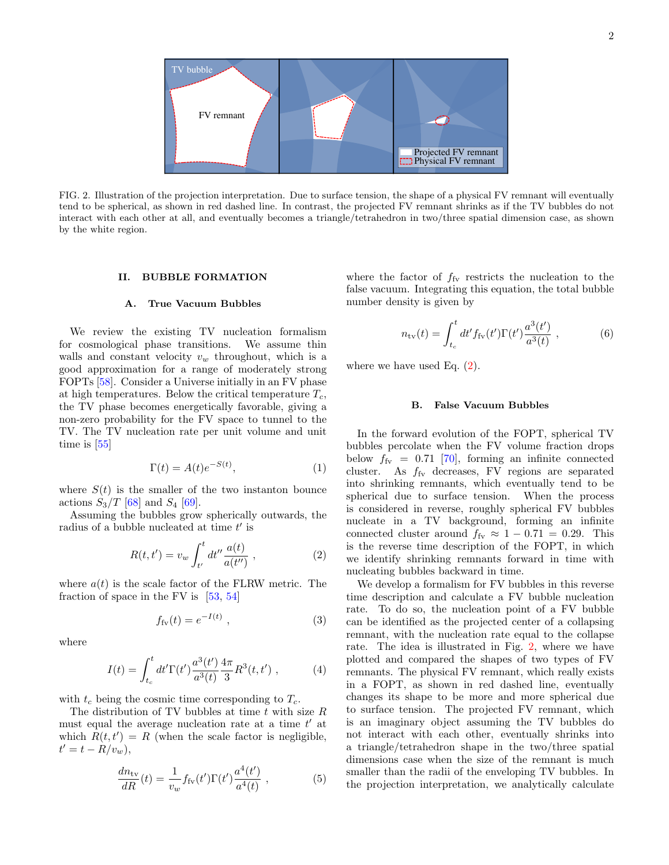

<span id="page-1-2"></span>FIG. 2. Illustration of the projection interpretation. Due to surface tension, the shape of a physical FV remnant will eventually tend to be spherical, as shown in red dashed line. In contrast, the projected FV remnant shrinks as if the TV bubbles do not interact with each other at all, and eventually becomes a triangle/tetrahedron in two/three spatial dimension case, as shown by the white region.

# <span id="page-1-0"></span>II. BUBBLE FORMATION

#### A. True Vacuum Bubbles

We review the existing TV nucleation formalism for cosmological phase transitions. We assume thin walls and constant velocity  $v_w$  throughout, which is a good approximation for a range of moderately strong FOPTs [\[58\]](#page-7-18). Consider a Universe initially in an FV phase at high temperatures. Below the critical temperature  $T_c$ , the TV phase becomes energetically favorable, giving a non-zero probability for the FV space to tunnel to the TV. The TV nucleation rate per unit volume and unit time is [\[55\]](#page-7-19)

$$
\Gamma(t) = A(t)e^{-S(t)},\tag{1}
$$

where  $S(t)$  is the smaller of the two instanton bounce actions  $S_3/T$  [\[68\]](#page-7-20) and  $S_4$  [\[69\]](#page-7-21).

Assuming the bubbles grow spherically outwards, the radius of a bubble nucleated at time  $t'$  is

<span id="page-1-1"></span>
$$
R(t, t') = v_w \int_{t'}^{t} dt'' \frac{a(t)}{a(t'')} ,
$$
 (2)

where  $a(t)$  is the scale factor of the FLRW metric. The fraction of space in the FV is [\[53,](#page-7-22) [54\]](#page-7-23)

<span id="page-1-3"></span>
$$
f_{\rm fv}(t) = e^{-I(t)} \t{,} \t(3)
$$

where

$$
I(t) = \int_{t_c}^{t} dt' \Gamma(t') \frac{a^3(t')}{a^3(t)} \frac{4\pi}{3} R^3(t, t') , \qquad (4)
$$

with  $t_c$  being the cosmic time corresponding to  $T_c$ .

The distribution of TV bubbles at time  $t$  with size  $R$ must equal the average nucleation rate at a time  $t'$  at which  $R(t, t') = R$  (when the scale factor is negligible,  $t' = t - R/v_w$ ),

$$
\frac{dn_{\rm tv}}{dR}(t) = \frac{1}{v_w} f_{\rm fv}(t') \Gamma(t') \frac{a^4(t')}{a^4(t)} , \qquad (5)
$$

where the factor of  $f_{\text{fv}}$  restricts the nucleation to the false vacuum. Integrating this equation, the total bubble number density is given by

$$
n_{\rm tv}(t) = \int_{t_c}^t dt' f_{\rm fv}(t') \Gamma(t') \frac{a^3(t')}{a^3(t)} , \qquad (6)
$$

where we have used Eq.  $(2)$ .

#### B. False Vacuum Bubbles

In the forward evolution of the FOPT, spherical TV bubbles percolate when the FV volume fraction drops below  $f_{\text{fv}} = 0.71$  [\[70\]](#page-7-24), forming an infinite connected cluster. As  $f_{\rm fv}$  decreases, FV regions are separated into shrinking remnants, which eventually tend to be spherical due to surface tension. When the process is considered in reverse, roughly spherical FV bubbles nucleate in a TV background, forming an infinite connected cluster around  $f_{\text{fv}} \approx 1 - 0.71 = 0.29$ . This is the reverse time description of the FOPT, in which we identify shrinking remnants forward in time with nucleating bubbles backward in time.

We develop a formalism for FV bubbles in this reverse time description and calculate a FV bubble nucleation rate. To do so, the nucleation point of a FV bubble can be identified as the projected center of a collapsing remnant, with the nucleation rate equal to the collapse rate. The idea is illustrated in Fig. [2,](#page-1-2) where we have plotted and compared the shapes of two types of FV remnants. The physical FV remnant, which really exists in a FOPT, as shown in red dashed line, eventually changes its shape to be more and more spherical due to surface tension. The projected FV remnant, which is an imaginary object assuming the TV bubbles do not interact with each other, eventually shrinks into a triangle/tetrahedron shape in the two/three spatial dimensions case when the size of the remnant is much smaller than the radii of the enveloping TV bubbles. In the projection interpretation, we analytically calculate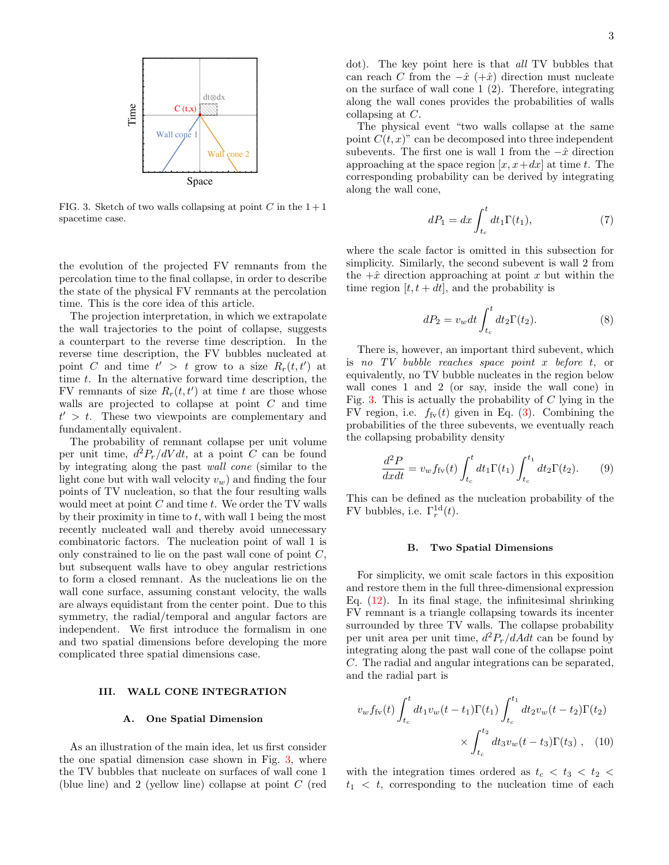

<span id="page-2-1"></span>FIG. 3. Sketch of two walls collapsing at point C in the  $1+1$ spacetime case.

the evolution of the projected FV remnants from the percolation time to the final collapse, in order to describe the state of the physical FV remnants at the percolation time. This is the core idea of this article.

The projection interpretation, in which we extrapolate the wall trajectories to the point of collapse, suggests a counterpart to the reverse time description. In the reverse time description, the FV bubbles nucleated at point C and time  $t' > t$  grow to a size  $R_r(t, t')$  at time t. In the alternative forward time description, the FV remnants of size  $R_r(t, t')$  at time t are those whose walls are projected to collapse at point C and time  $t' > t$ . These two viewpoints are complementary and fundamentally equivalent.

The probability of remnant collapse per unit volume per unit time,  $d^2P_r/dVdt$ , at a point C can be found by integrating along the past wall cone (similar to the light cone but with wall velocity  $v_w$ ) and finding the four points of TV nucleation, so that the four resulting walls would meet at point  $C$  and time  $t$ . We order the TV walls by their proximity in time to  $t$ , with wall 1 being the most recently nucleated wall and thereby avoid unnecessary combinatoric factors. The nucleation point of wall 1 is only constrained to lie on the past wall cone of point  $C$ , but subsequent walls have to obey angular restrictions to form a closed remnant. As the nucleations lie on the wall cone surface, assuming constant velocity, the walls are always equidistant from the center point. Due to this symmetry, the radial/temporal and angular factors are independent. We first introduce the formalism in one and two spatial dimensions before developing the more complicated three spatial dimensions case.

### <span id="page-2-0"></span>III. WALL CONE INTEGRATION

## A. One Spatial Dimension

As an illustration of the main idea, let us first consider the one spatial dimension case shown in Fig. [3,](#page-2-1) where the TV bubbles that nucleate on surfaces of wall cone 1 (blue line) and 2 (yellow line) collapse at point C (red dot). The key point here is that all TV bubbles that can reach C from the  $-\hat{x}$  (+ $\hat{x}$ ) direction must nucleate on the surface of wall cone 1 (2). Therefore, integrating along the wall cones provides the probabilities of walls collapsing at C.

The physical event "two walls collapse at the same point  $C(t, x)$ " can be decomposed into three independent subevents. The first one is wall 1 from the  $-\hat{x}$  direction approaching at the space region  $[x, x+dx]$  at time t. The corresponding probability can be derived by integrating along the wall cone,

$$
dP_1 = dx \int_{t_c}^{t} dt_1 \Gamma(t_1), \qquad (7)
$$

where the scale factor is omitted in this subsection for simplicity. Similarly, the second subevent is wall 2 from the  $+\hat{x}$  direction approaching at point x but within the time region  $[t, t + dt]$ , and the probability is

$$
dP_2 = v_w dt \int_{t_c}^t dt_2 \Gamma(t_2).
$$
 (8)

There is, however, an important third subevent, which is no TV bubble reaches space point x before t, or equivalently, no TV bubble nucleates in the region below wall cones 1 and 2 (or say, inside the wall cone) in Fig. [3.](#page-2-1) This is actually the probability of  $C$  lying in the FV region, i.e.  $f_{f<sub>V</sub>}(t)$  given in Eq. [\(3\)](#page-1-3). Combining the probabilities of the three subevents, we eventually reach the collapsing probability density

$$
\frac{d^2P}{dxdt} = v_w f_{\rm fv}(t) \int_{t_c}^t dt_1 \Gamma(t_1) \int_{t_c}^{t_1} dt_2 \Gamma(t_2). \tag{9}
$$

This can be defined as the nucleation probability of the FV bubbles, i.e.  $\Gamma_r^{\text{1d}}(t)$ .

#### B. Two Spatial Dimensions

For simplicity, we omit scale factors in this exposition and restore them in the full three-dimensional expression Eq.  $(12)$ . In its final stage, the infinitesimal shrinking FV remnant is a triangle collapsing towards its incenter surrounded by three TV walls. The collapse probability per unit area per unit time,  $d^2P_r/dAdt$  can be found by integrating along the past wall cone of the collapse point C. The radial and angular integrations can be separated, and the radial part is

<span id="page-2-2"></span>
$$
v_w f_{\rm fv}(t) \int_{t_c}^t dt_1 v_w(t - t_1) \Gamma(t_1) \int_{t_c}^{t_1} dt_2 v_w(t - t_2) \Gamma(t_2)
$$
  
 
$$
\times \int_{t_c}^{t_2} dt_3 v_w(t - t_3) \Gamma(t_3) , \quad (10)
$$

with the integration times ordered as  $t_c < t_3 < t_2 <$  $t_1 < t$ , corresponding to the nucleation time of each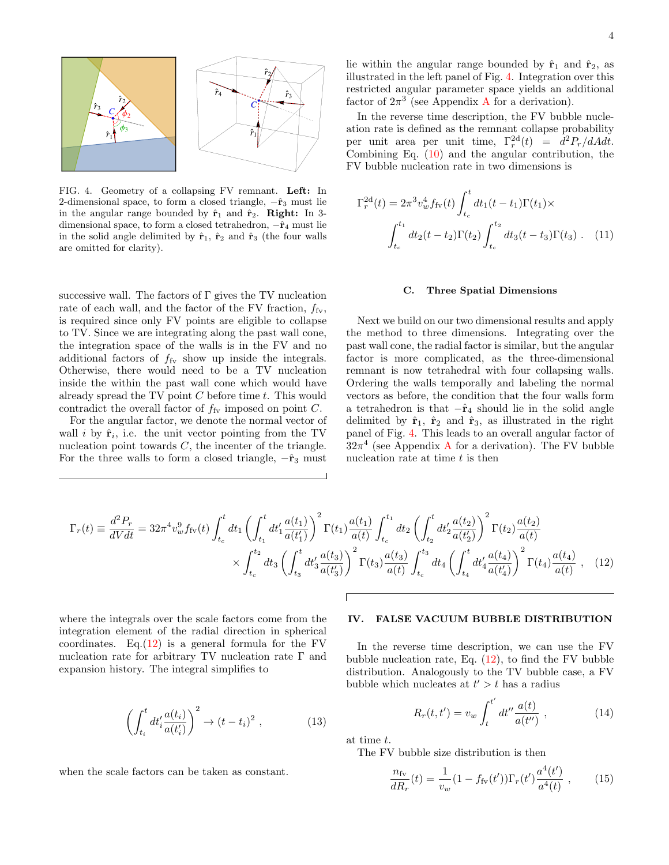

<span id="page-3-2"></span>FIG. 4. Geometry of a collapsing FV remnant. Left: In 2-dimensional space, to form a closed triangle,  $-\hat{r}_3$  must lie in the angular range bounded by  $\hat{\mathbf{r}}_1$  and  $\hat{\mathbf{r}}_2$ . Right: In 3dimensional space, to form a closed tetrahedron,  $-\hat{r}_4$  must lie in the solid angle delimited by  $\hat{\mathbf{r}}_1$ ,  $\hat{\mathbf{r}}_2$  and  $\hat{\mathbf{r}}_3$  (the four walls are omitted for clarity).

successive wall. The factors of  $\Gamma$  gives the TV nucleation rate of each wall, and the factor of the FV fraction,  $f_{\rm fv}$ , is required since only FV points are eligible to collapse to TV. Since we are integrating along the past wall cone, the integration space of the walls is in the FV and no additional factors of  $f_{\text{fv}}$  show up inside the integrals. Otherwise, there would need to be a TV nucleation inside the within the past wall cone which would have already spread the TV point  $C$  before time  $t$ . This would contradict the overall factor of  $f_{fV}$  imposed on point  $C$ .

For the angular factor, we denote the normal vector of wall i by  $\hat{\mathbf{r}}_i$ , i.e. the unit vector pointing from the TV nucleation point towards  $C$ , the incenter of the triangle. For the three walls to form a closed triangle,  $-\hat{r}_3$  must

lie within the angular range bounded by  $\hat{\mathbf{r}}_1$  and  $\hat{\mathbf{r}}_2$ , as illustrated in the left panel of Fig. [4.](#page-3-2) Integration over this restricted angular parameter space yields an additional factor of  $2\pi^3$  (see [A](#page-6-6)ppendix A for a derivation).

In the reverse time description, the FV bubble nucleation rate is defined as the remnant collapse probability per unit area per unit time,  $\Gamma_r^{2d}(t) = d^2 P_r/dA dt$ . Combining Eq. [\(10\)](#page-2-2) and the angular contribution, the FV bubble nucleation rate in two dimensions is

$$
\Gamma_r^{\text{2d}}(t) = 2\pi^3 v_w^4 f_{\text{fv}}(t) \int_{t_c}^t dt_1(t - t_1) \Gamma(t_1) \times
$$

$$
\int_{t_c}^{t_1} dt_2(t - t_2) \Gamma(t_2) \int_{t_c}^{t_2} dt_3(t - t_3) \Gamma(t_3) \ . \tag{11}
$$

#### C. Three Spatial Dimensions

Next we build on our two dimensional results and apply the method to three dimensions. Integrating over the past wall cone, the radial factor is similar, but the angular factor is more complicated, as the three-dimensional remnant is now tetrahedral with four collapsing walls. Ordering the walls temporally and labeling the normal vectors as before, the condition that the four walls form a tetrahedron is that  $-\hat{r}_4$  should lie in the solid angle delimited by  $\hat{\mathbf{r}}_1$ ,  $\hat{\mathbf{r}}_2$  and  $\hat{\mathbf{r}}_3$ , as illustrated in the right panel of Fig. [4.](#page-3-2) This leads to an overall angular factor of  $32\pi^4$  (see [A](#page-6-6)ppendix A for a derivation). The FV bubble nucleation rate at time  $t$  is then

$$
\Gamma_r(t) \equiv \frac{d^2 P_r}{dV dt} = 32\pi^4 v_w^9 f_{\rm fv}(t) \int_{t_c}^t dt_1 \left( \int_{t_1}^t dt_1' \frac{a(t_1)}{a(t_1')} \right)^2 \Gamma(t_1) \frac{a(t_1)}{a(t)} \int_{t_c}^{t_1} dt_2 \left( \int_{t_2}^t dt_2' \frac{a(t_2)}{a(t_2')} \right)^2 \Gamma(t_2) \frac{a(t_2)}{a(t)}
$$

$$
\times \int_{t_c}^{t_2} dt_3 \left( \int_{t_3}^t dt_3' \frac{a(t_3)}{a(t_3')} \right)^2 \Gamma(t_3) \frac{a(t_3)}{a(t)} \int_{t_c}^{t_3} dt_4 \left( \int_{t_4}^t dt_4' \frac{a(t_4)}{a(t_4')} \right)^2 \Gamma(t_4) \frac{a(t_4)}{a(t)} , \quad (12)
$$

where the integrals over the scale factors come from the integration element of the radial direction in spherical coordinates. Eq. $(12)$  is a general formula for the FV nucleation rate for arbitrary TV nucleation rate Γ and expansion history. The integral simplifies to

$$
\left(\int_{t_i}^t dt_i' \frac{a(t_i)}{a(t_i')} \right)^2 \to (t - t_i)^2 , \qquad (13)
$$

when the scale factors can be taken as constant.

# <span id="page-3-0"></span>IV. FALSE VACUUM BUBBLE DISTRIBUTION

In the reverse time description, we can use the FV bubble nucleation rate, Eq. [\(12\)](#page-3-1), to find the FV bubble distribution. Analogously to the TV bubble case, a FV bubble which nucleates at  $t' > t$  has a radius

<span id="page-3-3"></span><span id="page-3-1"></span>
$$
R_r(t, t') = v_w \int_t^{t'} dt'' \frac{a(t)}{a(t'')} , \qquad (14)
$$

at time t.

The FV bubble size distribution is then

<span id="page-3-4"></span>
$$
\frac{n_{\rm fv}}{dR_r}(t) = \frac{1}{v_w}(1 - f_{\rm fv}(t'))\Gamma_r(t')\frac{a^4(t')}{a^4(t)},\qquad(15)
$$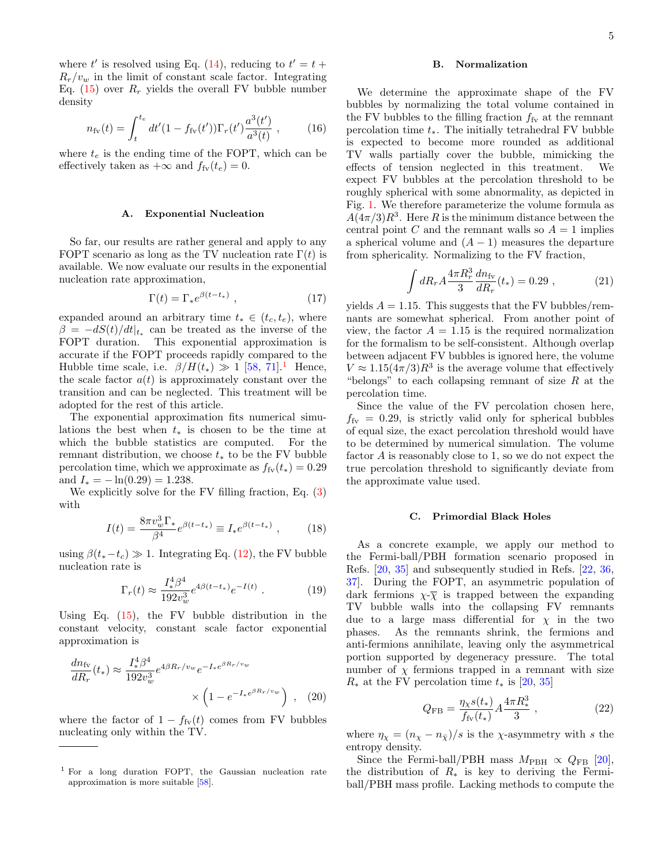where t' is resolved using Eq. [\(14\)](#page-3-3), reducing to  $t' = t +$  $R_r/v_w$  in the limit of constant scale factor. Integrating Eq. [\(15\)](#page-3-4) over  $R_r$  yields the overall FV bubble number density

$$
n_{\rm fv}(t) = \int_{t}^{t_e} dt'(1 - f_{\rm fv}(t')) \Gamma_r(t') \frac{a^3(t')}{a^3(t)} , \qquad (16)
$$

where  $t_e$  is the ending time of the FOPT, which can be effectively taken as  $+\infty$  and  $f_{\text{fv}}(t_e) = 0$ .

#### A. Exponential Nucleation

So far, our results are rather general and apply to any FOPT scenario as long as the TV nucleation rate  $\Gamma(t)$  is available. We now evaluate our results in the exponential nucleation rate approximation,

$$
\Gamma(t) = \Gamma_* e^{\beta(t - t_*)} \tag{17}
$$

expanded around an arbitrary time  $t_* \in (t_c, t_e)$ , where  $\beta = -dS(t)/dt|_{t_*}$  can be treated as the inverse of the FOPT duration. This exponential approximation is accurate if the FOPT proceeds rapidly compared to the Hubble time scale, i.e.  $\beta/H(t_*) \gg 1$  $\beta/H(t_*) \gg 1$  [\[58,](#page-7-18) [71\]](#page-7-25).<sup>1</sup> Hence, the scale factor  $a(t)$  is approximately constant over the transition and can be neglected. This treatment will be adopted for the rest of this article.

The exponential approximation fits numerical simulations the best when  $t_*$  is chosen to be the time at which the bubble statistics are computed. For the remnant distribution, we choose  $t_*$  to be the FV bubble percolation time, which we approximate as  $f_{f<sub>Y</sub>}(t<sub>*</sub>) = 0.29$ and  $I_* = -\ln(0.29) = 1.238$ .

We explicitly solve for the FV filling fraction, Eq. [\(3\)](#page-1-3) with

$$
I(t) = \frac{8\pi v_w^3 \Gamma_*}{\beta^4} e^{\beta(t - t_*)} \equiv I_* e^{\beta(t - t_*)} , \qquad (18)
$$

using  $\beta(t_*-t_c) \gg 1$ . Integrating Eq. [\(12\)](#page-3-1), the FV bubble nucleation rate is

$$
\Gamma_r(t) \approx \frac{I_*^4 \beta^4}{192 v_w^3} e^{4\beta(t - t_*)} e^{-I(t)} \ . \tag{19}
$$

Using Eq.  $(15)$ , the FV bubble distribution in the constant velocity, constant scale factor exponential approximation is

$$
\frac{dn_{\rm fv}}{dR_r}(t_*) \approx \frac{I_*^4 \beta^4}{192 v_w^3} e^{4\beta R_r/v_w} e^{-I_* e^{\beta R_r/v_w}} \times \left(1 - e^{-I_* e^{\beta R_r/v_w}}\right) , \quad (20)
$$

where the factor of  $1 - f_{f<sub>V</sub>}(t)$  comes from FV bubbles nucleating only within the TV.

## B. Normalization

We determine the approximate shape of the FV bubbles by normalizing the total volume contained in the FV bubbles to the filling fraction  $f_{\rm fv}$  at the remnant percolation time  $t_$ <sup>\*</sup>. The initially tetrahedral FV bubble is expected to become more rounded as additional TV walls partially cover the bubble, mimicking the effects of tension neglected in this treatment. We expect FV bubbles at the percolation threshold to be roughly spherical with some abnormality, as depicted in Fig. [1.](#page-0-3) We therefore parameterize the volume formula as  $A(4\pi/3)R^3$ . Here R is the minimum distance between the central point C and the remnant walls so  $A = 1$  implies a spherical volume and  $(A - 1)$  measures the departure from sphericality. Normalizing to the FV fraction,

$$
\int dR_r A \frac{4\pi R_r^3}{3} \frac{dn_{\rm fv}}{dR_r}(t_*) = 0.29 , \qquad (21)
$$

yields  $A = 1.15$ . This suggests that the FV bubbles/remnants are somewhat spherical. From another point of view, the factor  $A = 1.15$  is the required normalization for the formalism to be self-consistent. Although overlap between adjacent FV bubbles is ignored here, the volume  $V \approx 1.15(4\pi/3)R^3$  is the average volume that effectively "belongs" to each collapsing remnant of size  $R$  at the percolation time.

Since the value of the FV percolation chosen here,  $f_{\text{fv}} = 0.29$ , is strictly valid only for spherical bubbles of equal size, the exact percolation threshold would have to be determined by numerical simulation. The volume factor A is reasonably close to 1, so we do not expect the true percolation threshold to significantly deviate from the approximate value used.

# C. Primordial Black Holes

As a concrete example, we apply our method to the Fermi-ball/PBH formation scenario proposed in Refs. [\[20,](#page-7-16) [35\]](#page-7-26) and subsequently studied in Refs. [\[22,](#page-7-2) [36,](#page-7-27) [37\]](#page-7-14). During the FOPT, an asymmetric population of dark fermions  $\chi \overline{\chi}$  is trapped between the expanding TV bubble walls into the collapsing FV remnants due to a large mass differential for  $\chi$  in the two phases. As the remnants shrink, the fermions and anti-fermions annihilate, leaving only the asymmetrical portion supported by degeneracy pressure. The total number of  $\chi$  fermions trapped in a remnant with size  $R_*$  at the FV percolation time  $t_*$  is [\[20,](#page-7-16) [35\]](#page-7-26)

$$
Q_{\rm FB} = \frac{\eta_{\chi}s(t_*)}{f_{\rm fv}(t_*)} A \frac{4\pi R_*^3}{3} , \qquad (22)
$$

<span id="page-4-1"></span>where  $\eta_{\chi} = (n_{\chi} - n_{\bar{\chi}})/s$  is the  $\chi$ -asymmetry with s the entropy density.

Since the Fermi-ball/PBH mass  $M_{\rm PBH} \propto Q_{\rm FB}$  [\[20\]](#page-7-16), the distribution of  $R_*$  is key to deriving the Fermiball/PBH mass profile. Lacking methods to compute the

<span id="page-4-0"></span><sup>1</sup> For a long duration FOPT, the Gaussian nucleation rate approximation is more suitable [\[58\]](#page-7-18).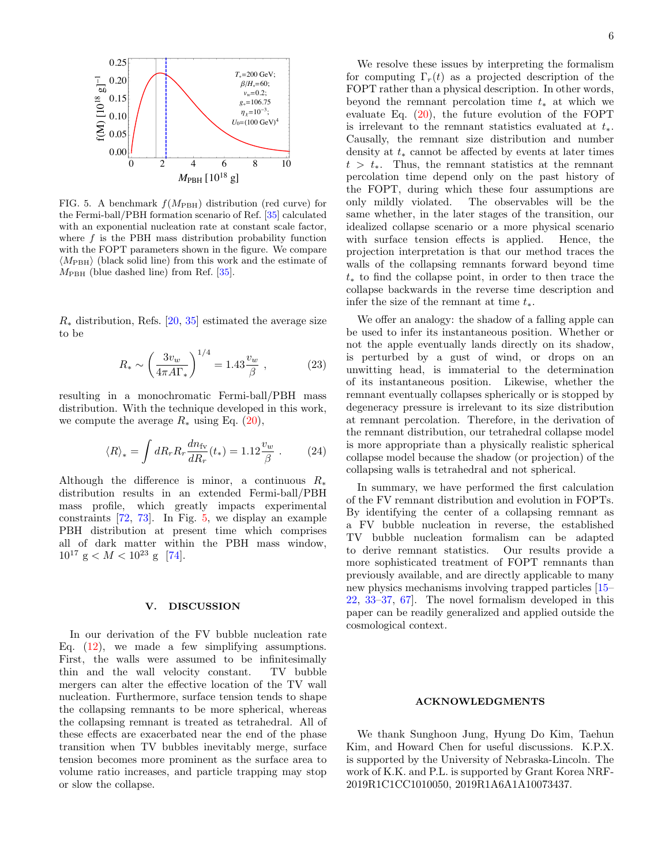

<span id="page-5-1"></span>FIG. 5. A benchmark  $f(M_{\text{PBH}})$  distribution (red curve) for the Fermi-ball/PBH formation scenario of Ref. [\[35\]](#page-7-26) calculated with an exponential nucleation rate at constant scale factor, where  $f$  is the PBH mass distribution probability function with the FOPT parameters shown in the figure. We compare  $\langle M_{\text{PBH}} \rangle$  (black solid line) from this work and the estimate of  $M_{\text{PBH}}$  (blue dashed line) from Ref. [\[35\]](#page-7-26).

 $R_*$  distribution, Refs. [\[20,](#page-7-16) [35\]](#page-7-26) estimated the average size to be

$$
R_* \sim \left(\frac{3v_w}{4\pi A\Gamma_*}\right)^{1/4} = 1.43 \frac{v_w}{\beta} ,\qquad (23)
$$

resulting in a monochromatic Fermi-ball/PBH mass distribution. With the technique developed in this work, we compute the average  $R_*$  using Eq. [\(20\)](#page-4-1),

$$
\langle R \rangle_* = \int dR_r R_r \frac{dn_{\rm fv}}{dR_r}(t_*) = 1.12 \frac{v_w}{\beta} \ . \tag{24}
$$

Although the difference is minor, a continuous  $R_*$ distribution results in an extended Fermi-ball/PBH mass profile, which greatly impacts experimental constraints [\[72,](#page-7-28) [73\]](#page-7-29). In Fig. [5,](#page-5-1) we display an example PBH distribution at present time which comprises all of dark matter within the PBH mass window,  $10^{17}$  g  $< M < 10^{23}$  g [\[74\]](#page-8-0).

# <span id="page-5-0"></span>V. DISCUSSION

In our derivation of the FV bubble nucleation rate Eq.  $(12)$ , we made a few simplifying assumptions. First, the walls were assumed to be infinitesimally thin and the wall velocity constant. TV bubble mergers can alter the effective location of the TV wall nucleation. Furthermore, surface tension tends to shape the collapsing remnants to be more spherical, whereas the collapsing remnant is treated as tetrahedral. All of these effects are exacerbated near the end of the phase transition when TV bubbles inevitably merge, surface tension becomes more prominent as the surface area to volume ratio increases, and particle trapping may stop or slow the collapse.

We resolve these issues by interpreting the formalism for computing  $\Gamma_r(t)$  as a projected description of the FOPT rather than a physical description. In other words, beyond the remnant percolation time  $t_*$  at which we evaluate Eq. [\(20\)](#page-4-1), the future evolution of the FOPT is irrelevant to the remnant statistics evaluated at  $t_*.$ Causally, the remnant size distribution and number density at  $t_*$  cannot be affected by events at later times  $t > t<sub>∗</sub>$ . Thus, the remnant statistics at the remnant percolation time depend only on the past history of the FOPT, during which these four assumptions are only mildly violated. The observables will be the same whether, in the later stages of the transition, our idealized collapse scenario or a more physical scenario with surface tension effects is applied. Hence, the projection interpretation is that our method traces the walls of the collapsing remnants forward beyond time  $t<sub>*</sub>$  to find the collapse point, in order to then trace the collapse backwards in the reverse time description and infer the size of the remnant at time  $t_*.$ 

We offer an analogy: the shadow of a falling apple can be used to infer its instantaneous position. Whether or not the apple eventually lands directly on its shadow, is perturbed by a gust of wind, or drops on an unwitting head, is immaterial to the determination of its instantaneous position. Likewise, whether the remnant eventually collapses spherically or is stopped by degeneracy pressure is irrelevant to its size distribution at remnant percolation. Therefore, in the derivation of the remnant distribution, our tetrahedral collapse model is more appropriate than a physically realistic spherical collapse model because the shadow (or projection) of the collapsing walls is tetrahedral and not spherical.

In summary, we have performed the first calculation of the FV remnant distribution and evolution in FOPTs. By identifying the center of a collapsing remnant as a FV bubble nucleation in reverse, the established TV bubble nucleation formalism can be adapted to derive remnant statistics. Our results provide a more sophisticated treatment of FOPT remnants than previously available, and are directly applicable to many new physics mechanisms involving trapped particles [\[15–](#page-7-12) [22,](#page-7-2) [33](#page-7-13)[–37,](#page-7-14) [67\]](#page-7-11). The novel formalism developed in this paper can be readily generalized and applied outside the cosmological context.

# ACKNOWLEDGMENTS

We thank Sunghoon Jung, Hyung Do Kim, Taehun Kim, and Howard Chen for useful discussions. K.P.X. is supported by the University of Nebraska-Lincoln. The work of K.K. and P.L. is supported by Grant Korea NRF-2019R1C1CC1010050, 2019R1A6A1A10073437.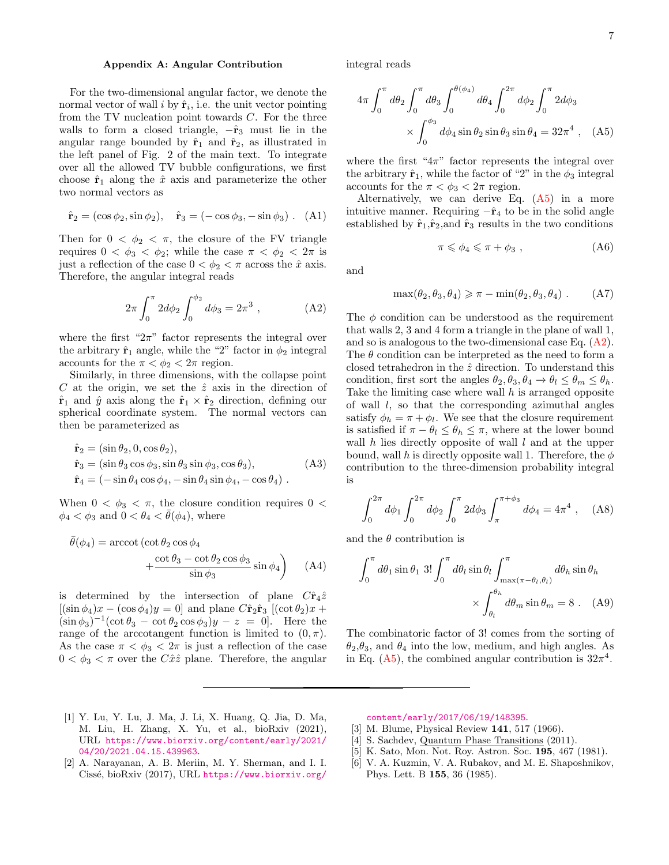# <span id="page-6-6"></span>Appendix A: Angular Contribution

For the two-dimensional angular factor, we denote the normal vector of wall  $i$  by  $\hat{\mathbf{r}}_i$ , i.e. the unit vector pointing from the TV nucleation point towards  $C$ . For the three walls to form a closed triangle,  $-\hat{r}_3$  must lie in the angular range bounded by  $\hat{\mathbf{r}}_1$  and  $\hat{\mathbf{r}}_2$ , as illustrated in the left panel of Fig. 2 of the main text. To integrate over all the allowed TV bubble configurations, we first choose  $\hat{\mathbf{r}}_1$  along the  $\hat{x}$  axis and parameterize the other two normal vectors as

$$
\hat{\mathbf{r}}_2 = (\cos \phi_2, \sin \phi_2), \quad \hat{\mathbf{r}}_3 = (-\cos \phi_3, -\sin \phi_3). \quad (A1)
$$

Then for  $0 < \phi_2 < \pi$ , the closure of the FV triangle requires  $0 < \phi_3 < \phi_2$ ; while the case  $\pi < \phi_2 < 2\pi$  is just a reflection of the case  $0 < \phi_2 < \pi$  across the  $\hat{x}$  axis. Therefore, the angular integral reads

<span id="page-6-8"></span>
$$
2\pi \int_0^{\pi} 2d\phi_2 \int_0^{\phi_2} d\phi_3 = 2\pi^3 , \qquad (A2)
$$

where the first " $2\pi$ " factor represents the integral over the arbitrary  $\hat{\mathbf{r}}_1$  angle, while the "2" factor in  $\phi_2$  integral accounts for the  $\pi < \phi_2 < 2\pi$  region.

Similarly, in three dimensions, with the collapse point C at the origin, we set the  $\hat{z}$  axis in the direction of  $\hat{\mathbf{r}}_1$  and  $\hat{y}$  axis along the  $\hat{\mathbf{r}}_1 \times \hat{\mathbf{r}}_2$  direction, defining our spherical coordinate system. The normal vectors can then be parameterized as

$$
\hat{\mathbf{r}}_2 = (\sin \theta_2, 0, \cos \theta_2), \n\hat{\mathbf{r}}_3 = (\sin \theta_3 \cos \phi_3, \sin \theta_3 \sin \phi_3, \cos \theta_3), \n\hat{\mathbf{r}}_4 = (-\sin \theta_4 \cos \phi_4, -\sin \theta_4 \sin \phi_4, -\cos \theta_4).
$$
\n(A3)

When  $0 < \phi_3 < \pi$ , the closure condition requires  $0 <$  $\phi_4 < \phi_3$  and  $0 < \theta_4 < \theta(\phi_4)$ , where

$$
\bar{\theta}(\phi_4) = \operatorname{arccot} (\cot \theta_2 \cos \phi_4 + \frac{\cot \theta_3 - \cot \theta_2 \cos \phi_3}{\sin \phi_3} \sin \phi_4)
$$
 (A4)

is determined by the intersection of plane  $C\hat{\mathbf{r}}_4\hat{z}$  $[(\sin \phi_4)x - (\cos \phi_4)y = 0]$  and plane  $C\hat{\mathbf{r}}_2\hat{\mathbf{r}}_3$   $[(\cot \theta_2)x +$  $(\sin \phi_3)^{-1} (\cot \theta_3 - \cot \theta_2 \cos \phi_3) y - z = 0$ . Here the range of the arccotangent function is limited to  $(0, \pi)$ . As the case  $\pi < \phi_3 < 2\pi$  is just a reflection of the case  $0 < \phi_3 < \pi$  over the  $C\hat{x}\hat{z}$  plane. Therefore, the angular

integral reads

$$
4\pi \int_0^{\pi} d\theta_2 \int_0^{\pi} d\theta_3 \int_0^{\bar{\theta}(\phi_4)} d\theta_4 \int_0^{2\pi} d\phi_2 \int_0^{\pi} 2d\phi_3
$$

$$
\times \int_0^{\phi_3} d\phi_4 \sin \theta_2 \sin \theta_3 \sin \theta_4 = 32\pi^4 , \quad (A5)
$$

where the first " $4\pi$ " factor represents the integral over the arbitrary  $\hat{\mathbf{r}}_1$ , while the factor of "2" in the  $\phi_3$  integral accounts for the  $\pi < \phi_3 < 2\pi$  region.

Alternatively, we can derive Eq.  $(A5)$  in a more intuitive manner. Requiring  $-\hat{r}_4$  to be in the solid angle established by  $\hat{\mathbf{r}}_1, \hat{\mathbf{r}}_2$ , and  $\hat{\mathbf{r}}_3$  results in the two conditions

<span id="page-6-7"></span>
$$
\pi \leqslant \phi_4 \leqslant \pi + \phi_3 , \qquad (A6)
$$

and

$$
\max(\theta_2, \theta_3, \theta_4) \ge \pi - \min(\theta_2, \theta_3, \theta_4) . \tag{A7}
$$

The  $\phi$  condition can be understood as the requirement that walls 2, 3 and 4 form a triangle in the plane of wall 1, and so is analogous to the two-dimensional case Eq.  $(A2)$ . The  $\theta$  condition can be interpreted as the need to form a closed tetrahedron in the  $\hat{z}$  direction. To understand this condition, first sort the angles  $\theta_2, \theta_3, \theta_4 \rightarrow \theta_1 \leq \theta_m \leq \theta_h$ . Take the limiting case where wall  $h$  is arranged opposite of wall  $l$ , so that the corresponding azimuthal angles satisfy  $\phi_h = \pi + \phi_l$ . We see that the closure requirement is satisfied if  $\pi - \theta_l \leq \theta_h \leq \pi$ , where at the lower bound wall  $h$  lies directly opposite of wall  $l$  and at the upper bound, wall h is directly opposite wall 1. Therefore, the  $\phi$ contribution to the three-dimension probability integral is

$$
\int_0^{2\pi} d\phi_1 \int_0^{2\pi} d\phi_2 \int_0^{\pi} 2d\phi_3 \int_{\pi}^{\pi + \phi_3} d\phi_4 = 4\pi^4 , \quad (A8)
$$

and the  $\theta$  contribution is

$$
\int_0^{\pi} d\theta_1 \sin \theta_1 \, 3! \int_0^{\pi} d\theta_l \sin \theta_l \int_{\max(\pi - \theta_l, \theta_l)}^{\pi} d\theta_h \sin \theta_h
$$

$$
\times \int_{\theta_l}^{\theta_h} d\theta_m \sin \theta_m = 8 \ . \quad (A9)
$$

The combinatoric factor of 3! comes from the sorting of  $\theta_2$ ,  $\theta_3$ , and  $\theta_4$  into the low, medium, and high angles. As in Eq. [\(A5\)](#page-6-7), the combined angular contribution is  $32\pi^4$ .

- <span id="page-6-0"></span>[1] Y. Lu, Y. Lu, J. Ma, J. Li, X. Huang, Q. Jia, D. Ma, M. Liu, H. Zhang, X. Yu, et al., bioRxiv (2021), URL [https://www.biorxiv.org/content/early/2021/](https://www.biorxiv.org/content/early/2021/04/20/2021.04.15.439963) [04/20/2021.04.15.439963](https://www.biorxiv.org/content/early/2021/04/20/2021.04.15.439963).
- <span id="page-6-1"></span>[2] A. Narayanan, A. B. Meriin, M. Y. Sherman, and I. I. Cissé, bioRxiv (2017), URL [https://www.biorxiv.org/](https://www.biorxiv.org/content/early/2017/06/19/148395)

[content/early/2017/06/19/148395](https://www.biorxiv.org/content/early/2017/06/19/148395).

- <span id="page-6-2"></span>[3] M. Blume, Physical Review 141, 517 (1966).
- <span id="page-6-3"></span>[4] S. Sachdev, Quantum Phase Transitions (2011).
- <span id="page-6-4"></span>[5] K. Sato, Mon. Not. Roy. Astron. Soc. 195, 467 (1981).
- <span id="page-6-5"></span>[6] V. A. Kuzmin, V. A. Rubakov, and M. E. Shaposhnikov, Phys. Lett. B 155, 36 (1985).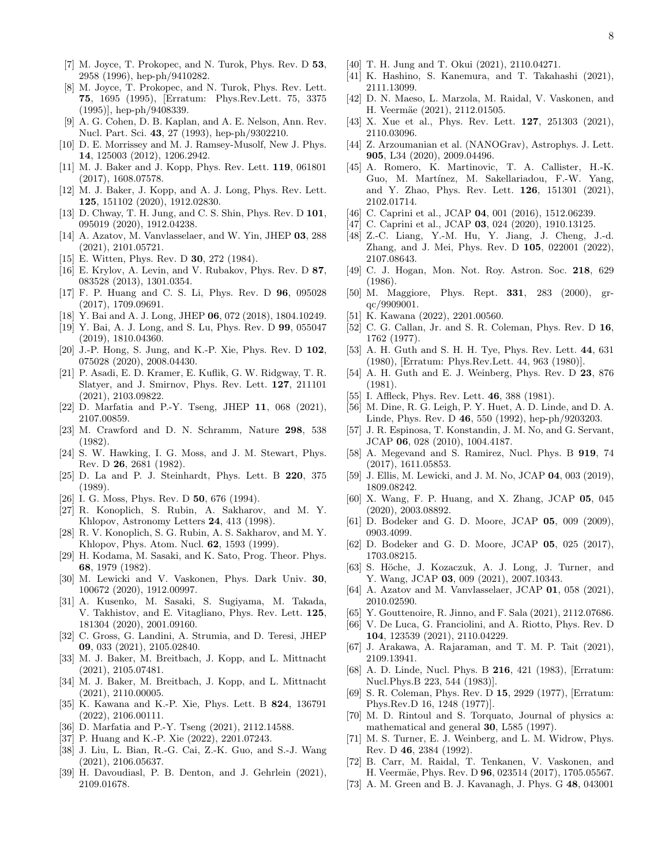- [7] M. Joyce, T. Prokopec, and N. Turok, Phys. Rev. D 53, 2958 (1996), hep-ph/9410282.
- [8] M. Joyce, T. Prokopec, and N. Turok, Phys. Rev. Lett. 75, 1695 (1995), [Erratum: Phys.Rev.Lett. 75, 3375 (1995)], hep-ph/9408339.
- [9] A. G. Cohen, D. B. Kaplan, and A. E. Nelson, Ann. Rev. Nucl. Part. Sci. 43, 27 (1993), hep-ph/9302210.
- <span id="page-7-0"></span>[10] D. E. Morrissey and M. J. Ramsey-Musolf, New J. Phys. 14, 125003 (2012), 1206.2942.
- <span id="page-7-1"></span>[11] M. J. Baker and J. Kopp, Phys. Rev. Lett. 119, 061801 (2017), 1608.07578.
- [12] M. J. Baker, J. Kopp, and A. J. Long, Phys. Rev. Lett. 125, 151102 (2020), 1912.02830.
- [13] D. Chway, T. H. Jung, and C. S. Shin, Phys. Rev. D **101**, 095019 (2020), 1912.04238.
- [14] A. Azatov, M. Vanvlasselaer, and W. Yin, JHEP 03, 288 (2021), 2101.05721.
- <span id="page-7-12"></span>[15] E. Witten, Phys. Rev. D 30, 272 (1984).
- <span id="page-7-15"></span>[16] E. Krylov, A. Levin, and V. Rubakov, Phys. Rev. D 87, 083528 (2013), 1301.0354.
- [17] F. P. Huang and C. S. Li, Phys. Rev. D 96, 095028 (2017), 1709.09691.
- [18] Y. Bai and A. J. Long, JHEP 06, 072 (2018), 1804.10249.
- [19] Y. Bai, A. J. Long, and S. Lu, Phys. Rev. D 99, 055047 (2019), 1810.04360.
- <span id="page-7-16"></span>[20] J.-P. Hong, S. Jung, and K.-P. Xie, Phys. Rev. D 102, 075028 (2020), 2008.04430.
- [21] P. Asadi, E. D. Kramer, E. Kuflik, G. W. Ridgway, T. R. Slatyer, and J. Smirnov, Phys. Rev. Lett. 127, 211101 (2021), 2103.09822.
- <span id="page-7-2"></span>[22] D. Marfatia and P.-Y. Tseng, JHEP 11, 068 (2021), 2107.00859.
- <span id="page-7-3"></span>[23] M. Crawford and D. N. Schramm, Nature 298, 538 (1982).
- [24] S. W. Hawking, I. G. Moss, and J. M. Stewart, Phys. Rev. D 26, 2681 (1982).
- [25] D. La and P. J. Steinhardt, Phys. Lett. B 220, 375 (1989).
- [26] I. G. Moss, Phys. Rev. D 50, 676 (1994).
- [27] R. Konoplich, S. Rubin, A. Sakharov, and M. Y. Khlopov, Astronomy Letters 24, 413 (1998).
- [28] R. V. Konoplich, S. G. Rubin, A. S. Sakharov, and M. Y. Khlopov, Phys. Atom. Nucl. 62, 1593 (1999).
- [29] H. Kodama, M. Sasaki, and K. Sato, Prog. Theor. Phys. 68, 1979 (1982).
- [30] M. Lewicki and V. Vaskonen, Phys. Dark Univ. 30, 100672 (2020), 1912.00997.
- [31] A. Kusenko, M. Sasaki, S. Sugiyama, M. Takada, V. Takhistov, and E. Vitagliano, Phys. Rev. Lett. 125, 181304 (2020), 2001.09160.
- [32] C. Gross, G. Landini, A. Strumia, and D. Teresi, JHEP 09, 033 (2021), 2105.02840.
- <span id="page-7-13"></span>[33] M. J. Baker, M. Breitbach, J. Kopp, and L. Mittnacht (2021), 2105.07481.
- <span id="page-7-17"></span>[34] M. J. Baker, M. Breitbach, J. Kopp, and L. Mittnacht (2021), 2110.00005.
- <span id="page-7-26"></span>[35] K. Kawana and K.-P. Xie, Phys. Lett. B 824, 136791 (2022), 2106.00111.
- <span id="page-7-27"></span>[36] D. Marfatia and P.-Y. Tseng (2021), 2112.14588.
- <span id="page-7-14"></span>[37] P. Huang and K.-P. Xie (2022), 2201.07243.
- [38] J. Liu, L. Bian, R.-G. Cai, Z.-K. Guo, and S.-J. Wang (2021), 2106.05637.
- [39] H. Davoudiasl, P. B. Denton, and J. Gehrlein (2021), 2109.01678.
- [40] T. H. Jung and T. Okui (2021), 2110.04271.
- [41] K. Hashino, S. Kanemura, and T. Takahashi (2021), 2111.13099.
- <span id="page-7-4"></span>[42] D. N. Maeso, L. Marzola, M. Raidal, V. Vaskonen, and H. Veermäe (2021), 2112.01505.
- <span id="page-7-5"></span>[43] X. Xue et al., Phys. Rev. Lett. **127**, 251303 (2021), 2110.03096.
- [44] Z. Arzoumanian et al. (NANOGrav), Astrophys. J. Lett. 905, L34 (2020), 2009.04496.
- [45] A. Romero, K. Martinovic, T. A. Callister, H.-K. Guo, M. Martínez, M. Sakellariadou, F.-W. Yang, and Y. Zhao, Phys. Rev. Lett. 126, 151301 (2021), 2102.01714.
- [46] C. Caprini et al., JCAP **04**, 001 (2016), 1512.06239.
- [47] C. Caprini et al., JCAP 03, 024 (2020), 1910.13125.
- <span id="page-7-6"></span>[48] Z.-C. Liang, Y.-M. Hu, Y. Jiang, J. Cheng, J.-d. Zhang, and J. Mei, Phys. Rev. D 105, 022001 (2022), 2107.08643.
- <span id="page-7-7"></span>[49] C. J. Hogan, Mon. Not. Roy. Astron. Soc. 218, 629 (1986).
- [50] M. Maggiore, Phys. Rept. 331, 283 (2000), grqc/9909001.
- <span id="page-7-8"></span>[51] K. Kawana (2022), 2201.00560.
- <span id="page-7-9"></span>[52] C. G. Callan, Jr. and S. R. Coleman, Phys. Rev. D 16, 1762 (1977).
- <span id="page-7-22"></span>[53] A. H. Guth and S. H. H. Tye, Phys. Rev. Lett. 44, 631 (1980), [Erratum: Phys.Rev.Lett. 44, 963 (1980)].
- <span id="page-7-23"></span>[54] A. H. Guth and E. J. Weinberg, Phys. Rev. D 23, 876 (1981).
- <span id="page-7-19"></span>[55] I. Affleck, Phys. Rev. Lett. **46**, 388 (1981).
- [56] M. Dine, R. G. Leigh, P. Y. Huet, A. D. Linde, and D. A. Linde, Phys. Rev. D 46, 550 (1992), hep-ph/9203203.
- [57] J. R. Espinosa, T. Konstandin, J. M. No, and G. Servant, JCAP 06, 028 (2010), 1004.4187.
- <span id="page-7-18"></span>[58] A. Megevand and S. Ramirez, Nucl. Phys. B **919**, 74 (2017), 1611.05853.
- [59] J. Ellis, M. Lewicki, and J. M. No, JCAP 04, 003 (2019), 1809.08242.
- [60] X. Wang, F. P. Huang, and X. Zhang, JCAP 05, 045 (2020), 2003.08892.
- [61] D. Bodeker and G. D. Moore, JCAP 05, 009 (2009), 0903.4099.
- [62] D. Bodeker and G. D. Moore, JCAP 05, 025 (2017), 1703.08215.
- [63] S. Höche, J. Kozaczuk, A. J. Long, J. Turner, and Y. Wang, JCAP 03, 009 (2021), 2007.10343.
- [64] A. Azatov and M. Vanvlasselaer, JCAP 01, 058 (2021), 2010.02590.
- [65] Y. Gouttenoire, R. Jinno, and F. Sala (2021), 2112.07686.
- <span id="page-7-10"></span>[66] V. De Luca, G. Franciolini, and A. Riotto, Phys. Rev. D 104, 123539 (2021), 2110.04229.
- <span id="page-7-11"></span>[67] J. Arakawa, A. Rajaraman, and T. M. P. Tait (2021), 2109.13941.
- <span id="page-7-20"></span>[68] A. D. Linde, Nucl. Phys. B 216, 421 (1983), [Erratum: Nucl.Phys.B 223, 544 (1983)].
- <span id="page-7-21"></span>[69] S. R. Coleman, Phys. Rev. D 15, 2929 (1977), [Erratum: Phys.Rev.D 16, 1248 (1977)].
- <span id="page-7-24"></span>[70] M. D. Rintoul and S. Torquato, Journal of physics a: mathematical and general 30, L585 (1997).
- <span id="page-7-25"></span>[71] M. S. Turner, E. J. Weinberg, and L. M. Widrow, Phys. Rev. D 46, 2384 (1992).
- <span id="page-7-28"></span>[72] B. Carr, M. Raidal, T. Tenkanen, V. Vaskonen, and H. Veermäe, Phys. Rev. D 96, 023514 (2017), 1705.05567.
- <span id="page-7-29"></span>[73] A. M. Green and B. J. Kavanagh, J. Phys. G 48, 043001